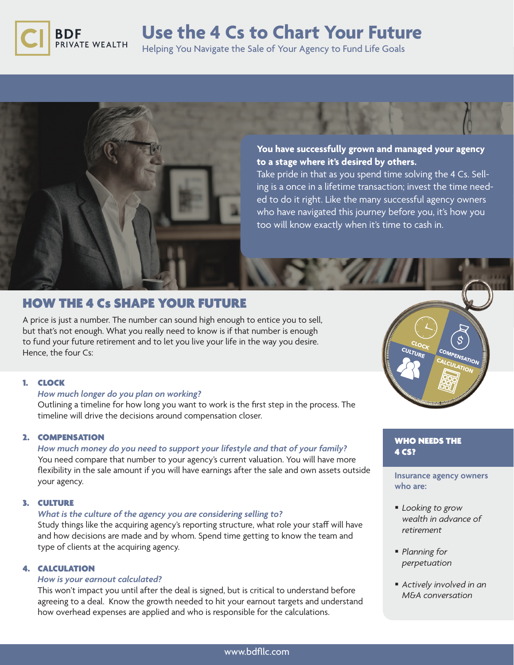

# **Use the 4 Cs to Chart Your Future**

Helping You Navigate the Sale of Your Agency to Fund Life Goals



**You have successfully grown and managed your agency to a stage where it's desired by others.** 

Take pride in that as you spend time solving the 4 Cs. Selling is a once in a lifetime transaction; invest the time needed to do it right. Like the many successful agency owners who have navigated this journey before you, it's how you too will know exactly when it's time to cash in.

# HOW THE 4 Cs SHAPE YOUR FUTURE

A price is just a number. The number can sound high enough to entice you to sell, but that's not enough. What you really need to know is if that number is enough to fund your future retirement and to let you live your life in the way you desire. Hence, the four Cs:

# 1. CLOCK

# *How much longer do you plan on working?*

Outlining a timeline for how long you want to work is the first step in the process. The timeline will drive the decisions around compensation closer.

## 2. COMPENSATION

*How much money do you need to support your lifestyle and that of your family?* You need compare that number to your agency's current valuation. You will have more flexibility in the sale amount if you will have earnings after the sale and own assets outside your agency.

## 3. CULTURE

## *What is the culture of the agency you are considering selling to?*

Study things like the acquiring agency's reporting structure, what role your staff will have and how decisions are made and by whom. Spend time getting to know the team and type of clients at the acquiring agency.

# 4. CALCULATION

#### *How is your earnout calculated?*

This won't impact you until after the deal is signed, but is critical to understand before agreeing to a deal. Know the growth needed to hit your earnout targets and understand how overhead expenses are applied and who is responsible for the calculations.



# WHO NEEDS THE 4 CS?

## **Insurance agency owners who are:**

- *Looking to grow wealth in advance of retirement*
- *Planning for perpetuation*
- § *Actively involved in an M&A conversation*